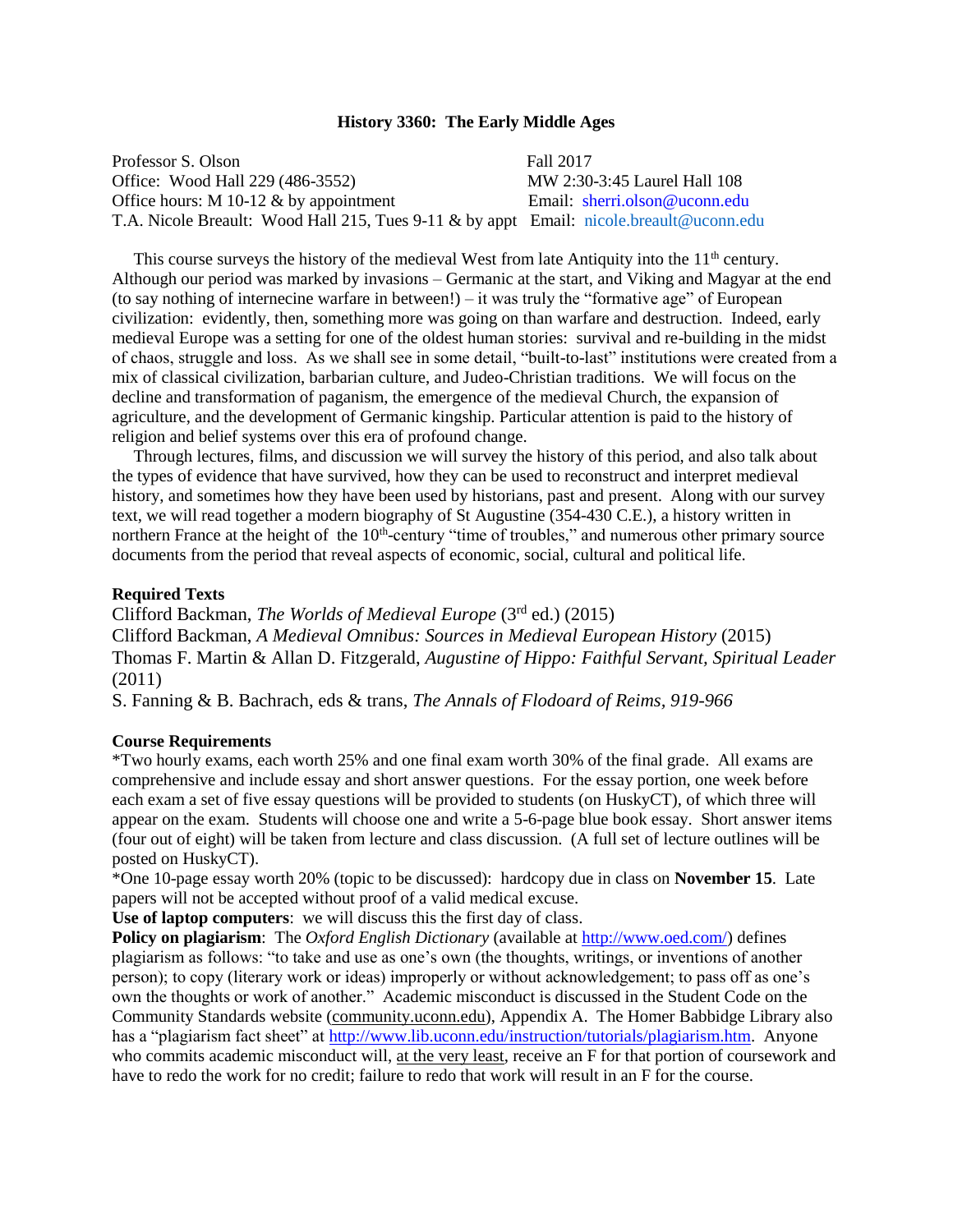#### **History 3360: The Early Middle Ages**

Professor S. Olson Fall 2017 Office: Wood Hall 229 (486-3552) MW 2:30-3:45 Laurel Hall 108 Office hours: M 10-12 & by appointment Email: [sherri.olson@uconn.edu](mailto:sherri.olson@uconn) T.A. Nicole Breault: Wood Hall 215, Tues 9-11 & by appt Email: [nicole.breault@uconn.edu](mailto:nicole.breault@uconn.edu)

This course surveys the history of the medieval West from late Antiquity into the  $11<sup>th</sup>$  century. Although our period was marked by invasions – Germanic at the start, and Viking and Magyar at the end (to say nothing of internecine warfare in between!) – it was truly the "formative age" of European civilization: evidently, then, something more was going on than warfare and destruction. Indeed, early medieval Europe was a setting for one of the oldest human stories: survival and re-building in the midst of chaos, struggle and loss. As we shall see in some detail, "built-to-last" institutions were created from a mix of classical civilization, barbarian culture, and Judeo-Christian traditions. We will focus on the decline and transformation of paganism, the emergence of the medieval Church, the expansion of agriculture, and the development of Germanic kingship. Particular attention is paid to the history of religion and belief systems over this era of profound change.

 Through lectures, films, and discussion we will survey the history of this period, and also talk about the types of evidence that have survived, how they can be used to reconstruct and interpret medieval history, and sometimes how they have been used by historians, past and present. Along with our survey text, we will read together a modern biography of St Augustine (354-430 C.E.), a history written in northern France at the height of the 10<sup>th</sup>-century "time of troubles," and numerous other primary source documents from the period that reveal aspects of economic, social, cultural and political life.

### **Required Texts**

Clifford Backman, *The Worlds of Medieval Europe* (3rd ed.) (2015) Clifford Backman, *A Medieval Omnibus: Sources in Medieval European History* (2015) Thomas F. Martin & Allan D. Fitzgerald, *Augustine of Hippo: Faithful Servant, Spiritual Leader* (2011)

S. Fanning & B. Bachrach, eds & trans, *The Annals of Flodoard of Reims, 919-966*

#### **Course Requirements**

\*Two hourly exams, each worth 25% and one final exam worth 30% of the final grade. All exams are comprehensive and include essay and short answer questions. For the essay portion, one week before each exam a set of five essay questions will be provided to students (on HuskyCT), of which three will appear on the exam. Students will choose one and write a 5-6-page blue book essay. Short answer items (four out of eight) will be taken from lecture and class discussion. (A full set of lecture outlines will be posted on HuskyCT).

\*One 10-page essay worth 20% (topic to be discussed): hardcopy due in class on **November 15**. Late papers will not be accepted without proof of a valid medical excuse.

**Use of laptop computers**: we will discuss this the first day of class.

**Policy on plagiarism**: The *Oxford English Dictionary* (available at [http://www.oed.com/\)](http://www.oed.com/) defines plagiarism as follows: "to take and use as one's own (the thoughts, writings, or inventions of another person); to copy (literary work or ideas) improperly or without acknowledgement; to pass off as one's own the thoughts or work of another." Academic misconduct is discussed in the Student Code on the Community Standards website (community.uconn.edu), Appendix A. The Homer Babbidge Library also has a "plagiarism fact sheet" at [http://www.lib.uconn.edu/instruction/tutorials/plagiarism.htm.](http://www.lib.uconn.edu/instruction/tutorials/plagiarism.htm) Anyone who commits academic misconduct will, at the very least, receive an F for that portion of coursework and have to redo the work for no credit; failure to redo that work will result in an F for the course.